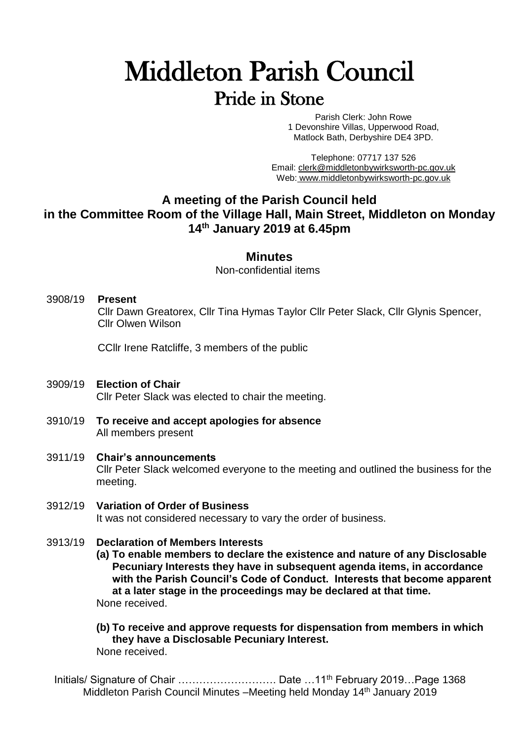# Middleton Parish Council Pride in Stone

Parish Clerk: John Rowe 1 Devonshire Villas, Upperwood Road, Matlock Bath, Derbyshire DE4 3PD.

Telephone: 07717 137 526 Email: [clerk@middletonbywirksworth-pc.gov.uk](mailto:clerk@middletonbywirksworth-pc.gov.uk) Web: [www.middletonbywirksworth-pc.gov.uk](http://www.middletonbywirksworth-pc.gov.uk/)

# **A meeting of the Parish Council held in the Committee Room of the Village Hall, Main Street, Middleton on Monday 14 th January 2019 at 6.45pm**

# **Minutes**

Non-confidential items

3908/19 **Present** Cllr Dawn Greatorex, Cllr Tina Hymas Taylor Cllr Peter Slack, Cllr Glynis Spencer, Cllr Olwen Wilson

CCllr Irene Ratcliffe, 3 members of the public

- 3909/19 **Election of Chair** Cllr Peter Slack was elected to chair the meeting.
- 3910/19 **To receive and accept apologies for absence** All members present
- 3911/19 **Chair's announcements** Cllr Peter Slack welcomed everyone to the meeting and outlined the business for the meeting.
- 3912/19 **Variation of Order of Business** It was not considered necessary to vary the order of business.
- 3913/19 **Declaration of Members Interests**

**(a) To enable members to declare the existence and nature of any Disclosable Pecuniary Interests they have in subsequent agenda items, in accordance with the Parish Council's Code of Conduct. Interests that become apparent at a later stage in the proceedings may be declared at that time.** None received.

**(b) To receive and approve requests for dispensation from members in which they have a Disclosable Pecuniary Interest.** None received.

Initials/ Signature of Chair ……………………………………… Date …11<sup>th</sup> February 2019…Page 1368 Middleton Parish Council Minutes –Meeting held Monday 14th January 2019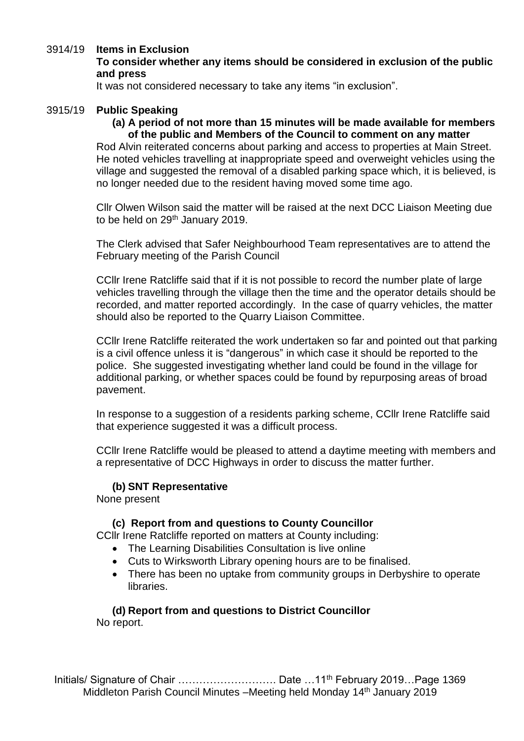# 3914/19 **Items in Exclusion**

**To consider whether any items should be considered in exclusion of the public and press**

It was not considered necessary to take any items "in exclusion".

## 3915/19 **Public Speaking**

## **(a) A period of not more than 15 minutes will be made available for members of the public and Members of the Council to comment on any matter**

Rod Alvin reiterated concerns about parking and access to properties at Main Street. He noted vehicles travelling at inappropriate speed and overweight vehicles using the village and suggested the removal of a disabled parking space which, it is believed, is no longer needed due to the resident having moved some time ago.

Cllr Olwen Wilson said the matter will be raised at the next DCC Liaison Meeting due to be held on 29<sup>th</sup> January 2019.

The Clerk advised that Safer Neighbourhood Team representatives are to attend the February meeting of the Parish Council

CCllr Irene Ratcliffe said that if it is not possible to record the number plate of large vehicles travelling through the village then the time and the operator details should be recorded, and matter reported accordingly. In the case of quarry vehicles, the matter should also be reported to the Quarry Liaison Committee.

CCllr Irene Ratcliffe reiterated the work undertaken so far and pointed out that parking is a civil offence unless it is "dangerous" in which case it should be reported to the police. She suggested investigating whether land could be found in the village for additional parking, or whether spaces could be found by repurposing areas of broad pavement.

In response to a suggestion of a residents parking scheme, CCllr Irene Ratcliffe said that experience suggested it was a difficult process.

CCllr Irene Ratcliffe would be pleased to attend a daytime meeting with members and a representative of DCC Highways in order to discuss the matter further.

# **(b) SNT Representative**

None present

# **(c) Report from and questions to County Councillor**

CCllr Irene Ratcliffe reported on matters at County including:

- The Learning Disabilities Consultation is live online
- Cuts to Wirksworth Library opening hours are to be finalised.
- There has been no uptake from community groups in Derbyshire to operate libraries.

#### **(d) Report from and questions to District Councillor** No report.

Initials/ Signature of Chair ……………………………………… Date …11<sup>th</sup> February 2019…Page 1369 Middleton Parish Council Minutes –Meeting held Monday 14<sup>th</sup> January 2019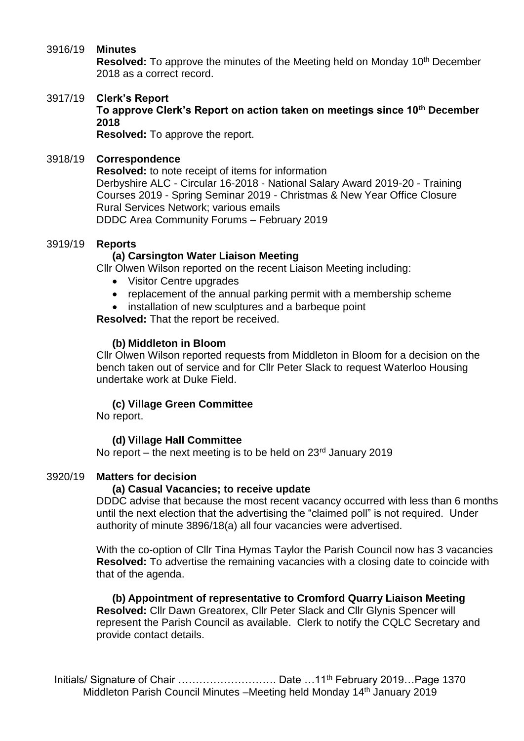## 3916/19 **Minutes**

**Resolved:** To approve the minutes of the Meeting held on Monday 10<sup>th</sup> December 2018 as a correct record.

# 3917/19 **Clerk's Report**

**To approve Clerk's Report on action taken on meetings since 10th December 2018**

**Resolved:** To approve the report.

## 3918/19 **Correspondence**

**Resolved:** to note receipt of items for information Derbyshire ALC - Circular 16-2018 - National Salary Award 2019-20 - Training Courses 2019 - Spring Seminar 2019 - Christmas & New Year Office Closure Rural Services Network; various emails DDDC Area Community Forums – February 2019

### 3919/19 **Reports**

# **(a) Carsington Water Liaison Meeting**

Cllr Olwen Wilson reported on the recent Liaison Meeting including:

- Visitor Centre upgrades
- replacement of the annual parking permit with a membership scheme
- installation of new sculptures and a barbeque point

**Resolved:** That the report be received.

# **(b) Middleton in Bloom**

Cllr Olwen Wilson reported requests from Middleton in Bloom for a decision on the bench taken out of service and for Cllr Peter Slack to request Waterloo Housing undertake work at Duke Field.

# **(c) Village Green Committee**

No report.

# **(d) Village Hall Committee**

No report – the next meeting is to be held on  $23<sup>rd</sup>$  January 2019

# 3920/19 **Matters for decision**

#### **(a) Casual Vacancies; to receive update**

DDDC advise that because the most recent vacancy occurred with less than 6 months until the next election that the advertising the "claimed poll" is not required. Under authority of minute 3896/18(a) all four vacancies were advertised.

With the co-option of Cllr Tina Hymas Taylor the Parish Council now has 3 vacancies **Resolved:** To advertise the remaining vacancies with a closing date to coincide with that of the agenda.

**(b) Appointment of representative to Cromford Quarry Liaison Meeting Resolved:** Cllr Dawn Greatorex, Cllr Peter Slack and Cllr Glynis Spencer will represent the Parish Council as available. Clerk to notify the CQLC Secretary and provide contact details.

Initials/ Signature of Chair ……………………………………… Date …11<sup>th</sup> February 2019…Page 1370 Middleton Parish Council Minutes –Meeting held Monday 14<sup>th</sup> January 2019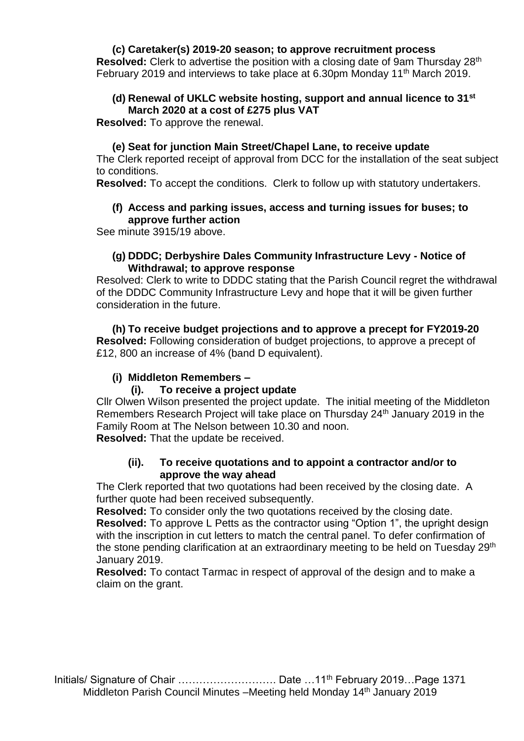# **(c) Caretaker(s) 2019-20 season; to approve recruitment process**

**Resolved:** Clerk to advertise the position with a closing date of 9am Thursday 28th February 2019 and interviews to take place at 6.30pm Monday 11<sup>th</sup> March 2019.

# **(d) Renewal of UKLC website hosting, support and annual licence to 31st March 2020 at a cost of £275 plus VAT**

**Resolved:** To approve the renewal.

# **(e) Seat for junction Main Street/Chapel Lane, to receive update**

The Clerk reported receipt of approval from DCC for the installation of the seat subject to conditions.

**Resolved:** To accept the conditions. Clerk to follow up with statutory undertakers.

# **(f) Access and parking issues, access and turning issues for buses; to approve further action**

See minute 3915/19 above.

# **(g) DDDC; Derbyshire Dales Community Infrastructure Levy - Notice of Withdrawal; to approve response**

Resolved: Clerk to write to DDDC stating that the Parish Council regret the withdrawal of the DDDC Community Infrastructure Levy and hope that it will be given further consideration in the future.

**(h) To receive budget projections and to approve a precept for FY2019-20 Resolved:** Following consideration of budget projections, to approve a precept of £12, 800 an increase of 4% (band D equivalent).

# **(i) Middleton Remembers –**

# **(i). To receive a project update**

Cllr Olwen Wilson presented the project update. The initial meeting of the Middleton Remembers Research Project will take place on Thursday 24th January 2019 in the Family Room at The Nelson between 10.30 and noon.

**Resolved:** That the update be received.

# **(ii). To receive quotations and to appoint a contractor and/or to approve the way ahead**

The Clerk reported that two quotations had been received by the closing date. A further quote had been received subsequently.

**Resolved:** To consider only the two quotations received by the closing date. **Resolved:** To approve L Petts as the contractor using "Option 1", the upright design with the inscription in cut letters to match the central panel. To defer confirmation of the stone pending clarification at an extraordinary meeting to be held on Tuesday 29<sup>th</sup> January 2019.

**Resolved:** To contact Tarmac in respect of approval of the design and to make a claim on the grant.